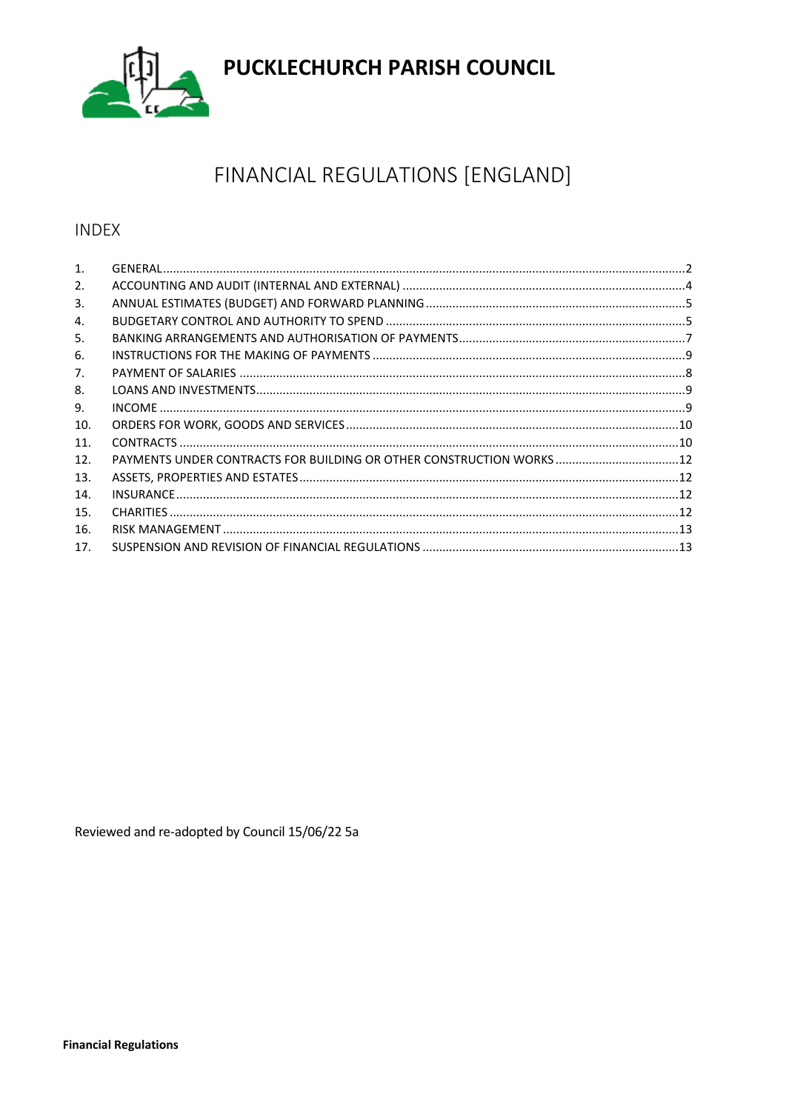

# PUCKLECHURCH PARISH COUNCIL

## FINANCIAL REGULATIONS [ENGLAND]

## **INDEX**

| 1.              |                                                                       |  |
|-----------------|-----------------------------------------------------------------------|--|
| 2.              |                                                                       |  |
| 3.              |                                                                       |  |
| 4.              |                                                                       |  |
| 5.              |                                                                       |  |
| 6.              |                                                                       |  |
| 7.              |                                                                       |  |
| 8.              |                                                                       |  |
| 9.              |                                                                       |  |
| 10.             |                                                                       |  |
| 11.             |                                                                       |  |
| 12.             | PAYMENTS UNDER CONTRACTS FOR BUILDING OR OTHER CONSTRUCTION WORKS  12 |  |
| 13.             |                                                                       |  |
| 14.             |                                                                       |  |
| 15.             |                                                                       |  |
| 16.             |                                                                       |  |
| 17 <sub>1</sub> |                                                                       |  |

Reviewed and re-adopted by Council 15/06/22 5a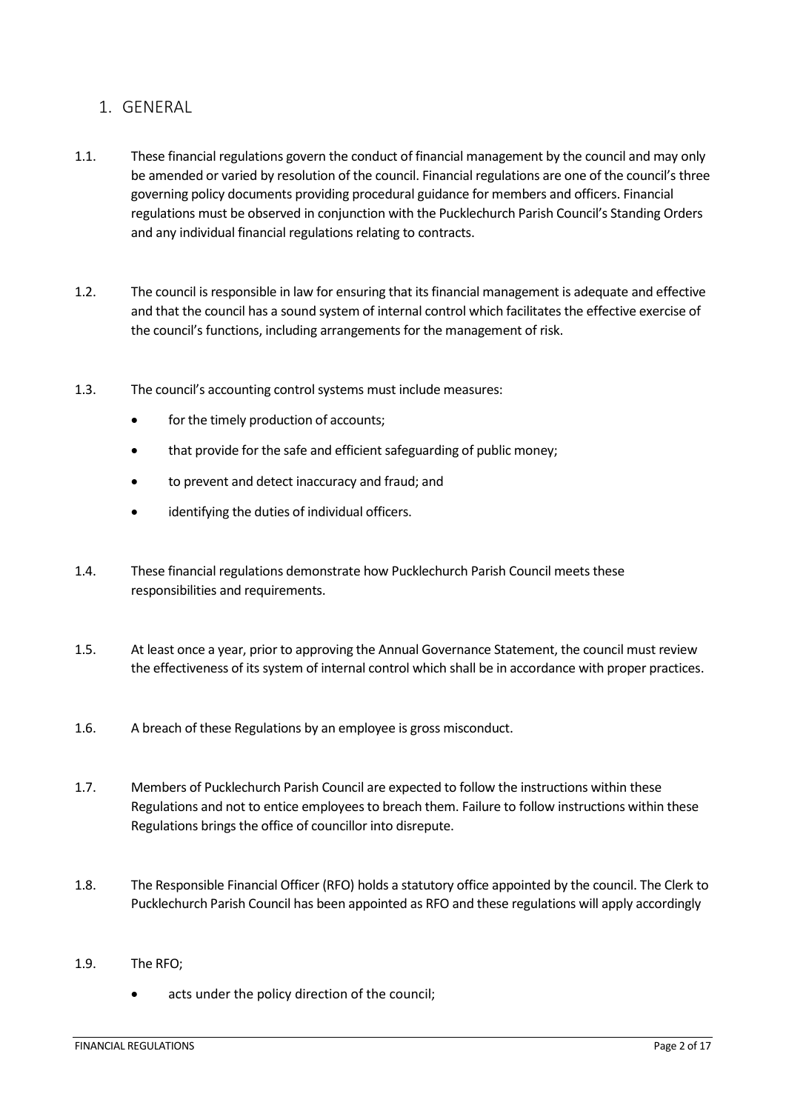## <span id="page-1-0"></span>1. GENERAL

- 1.1. These financial regulations govern the conduct of financial management by the council and may only be amended or varied by resolution of the council. Financial regulations are one of the council's three governing policy documents providing procedural guidance for members and officers. Financial regulations must be observed in conjunction with the Pucklechurch Parish Council's Standing Orders and any individual financial regulations relating to contracts.
- 1.2. The council is responsible in law for ensuring that its financial management is adequate and effective and that the council has a sound system of internal control which facilitates the effective exercise of the council's functions, including arrangements for the management of risk.
- 1.3. The council's accounting control systems must include measures:
	- for the timely production of accounts;
	- that provide for the safe and efficient safeguarding of public money;
	- to prevent and detect inaccuracy and fraud; and
	- identifying the duties of individual officers.
- 1.4. These financial regulations demonstrate how Pucklechurch Parish Council meets these responsibilities and requirements.
- 1.5. At least once a year, prior to approving the Annual Governance Statement, the council must review the effectiveness of its system of internal control which shall be in accordance with proper practices.
- 1.6. A breach of these Regulations by an employee is gross misconduct.
- 1.7. Members of Pucklechurch Parish Council are expected to follow the instructions within these Regulations and not to entice employees to breach them. Failure to follow instructions within these Regulations brings the office of councillor into disrepute.
- 1.8. The Responsible Financial Officer (RFO) holds a statutory office appointed by the council. The Clerk to Pucklechurch Parish Council has been appointed as RFO and these regulations will apply accordingly
- 1.9. The RFO;
	- acts under the policy direction of the council;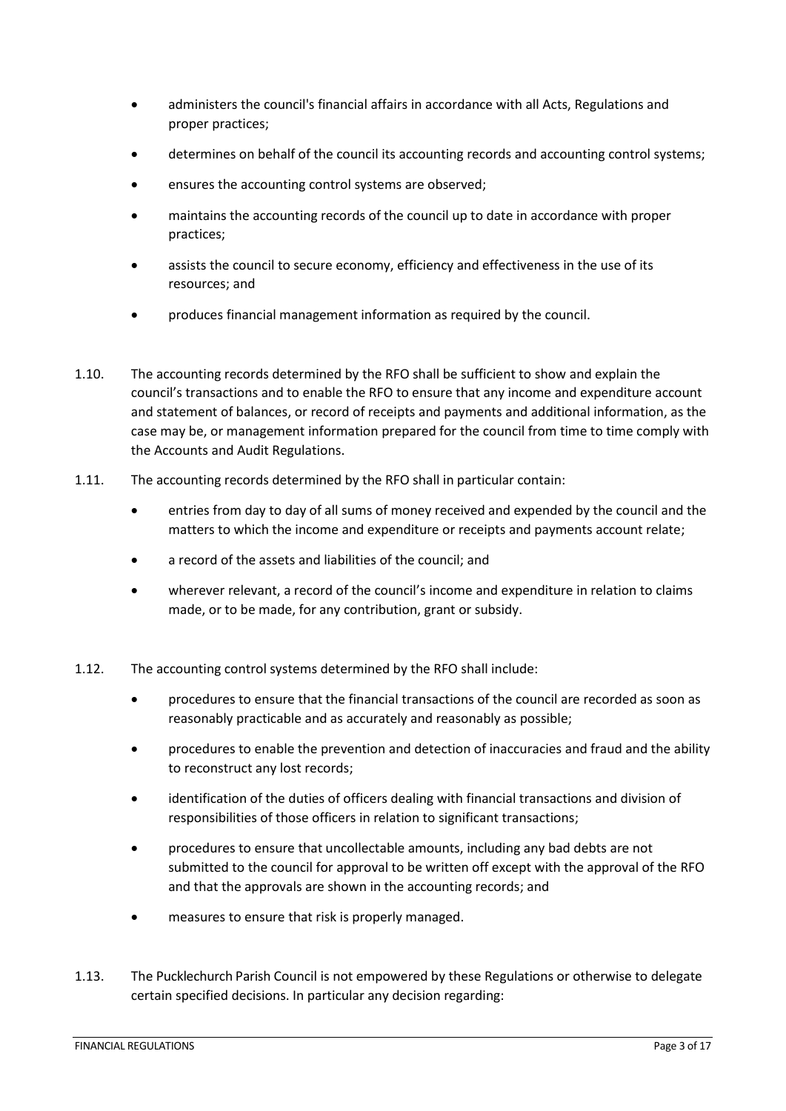- administers the council's financial affairs in accordance with all Acts, Regulations and proper practices;
- determines on behalf of the council its accounting records and accounting control systems;
- ensures the accounting control systems are observed;
- maintains the accounting records of the council up to date in accordance with proper practices;
- assists the council to secure economy, efficiency and effectiveness in the use of its resources; and
- produces financial management information as required by the council.
- 1.10. The accounting records determined by the RFO shall be sufficient to show and explain the council's transactions and to enable the RFO to ensure that any income and expenditure account and statement of balances, or record of receipts and payments and additional information, as the case may be, or management information prepared for the council from time to time comply with the Accounts and Audit Regulations.
- 1.11. The accounting records determined by the RFO shall in particular contain:
	- entries from day to day of all sums of money received and expended by the council and the matters to which the income and expenditure or receipts and payments account relate;
	- a record of the assets and liabilities of the council; and
	- wherever relevant, a record of the council's income and expenditure in relation to claims made, or to be made, for any contribution, grant or subsidy.
- 1.12. The accounting control systems determined by the RFO shall include:
	- procedures to ensure that the financial transactions of the council are recorded as soon as reasonably practicable and as accurately and reasonably as possible;
	- procedures to enable the prevention and detection of inaccuracies and fraud and the ability to reconstruct any lost records;
	- identification of the duties of officers dealing with financial transactions and division of responsibilities of those officers in relation to significant transactions;
	- procedures to ensure that uncollectable amounts, including any bad debts are not submitted to the council for approval to be written off except with the approval of the RFO and that the approvals are shown in the accounting records; and
	- measures to ensure that risk is properly managed.
- 1.13. The Pucklechurch Parish Council is not empowered by these Regulations or otherwise to delegate certain specified decisions. In particular any decision regarding: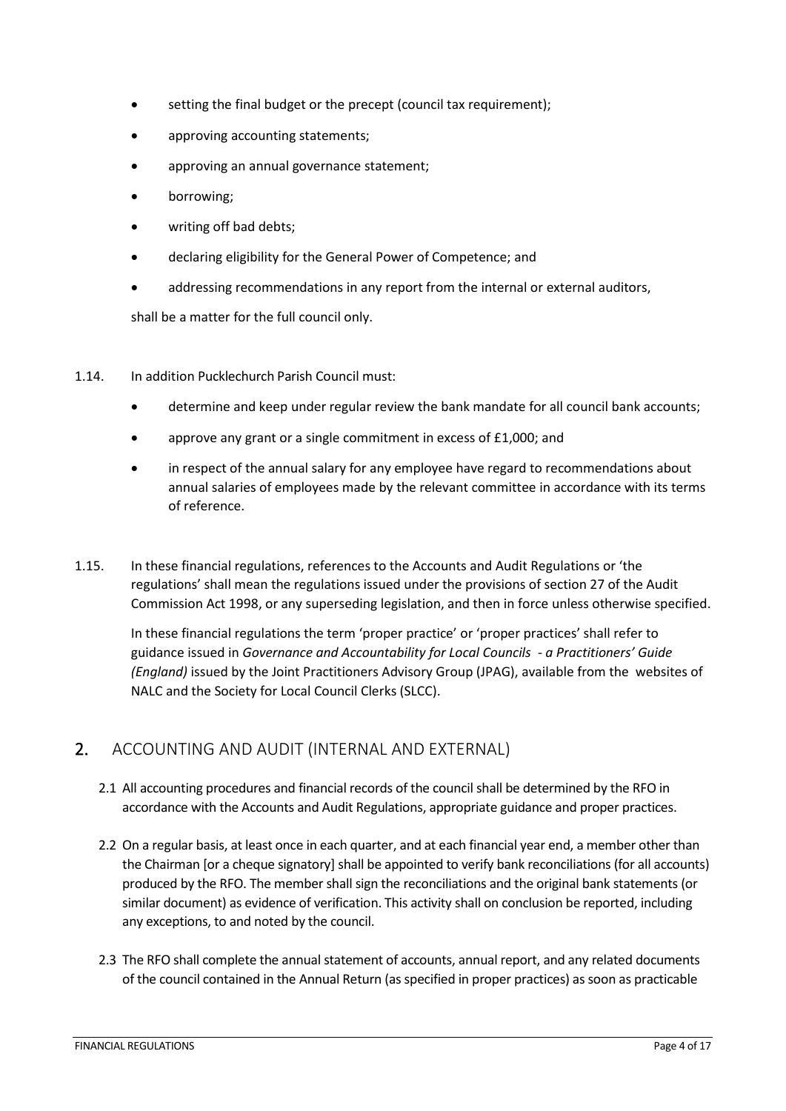- setting the final budget or the precept (council tax requirement);
- approving accounting statements;
- approving an annual governance statement;
- borrowing;
- writing off bad debts;
- declaring eligibility for the General Power of Competence; and
- addressing recommendations in any report from the internal or external auditors,

shall be a matter for the full council only.

- 1.14. In addition Pucklechurch Parish Council must:
	- determine and keep under regular review the bank mandate for all council bank accounts;
	- approve any grant or a single commitment in excess of £1,000; and
	- in respect of the annual salary for any employee have regard to recommendations about annual salaries of employees made by the relevant committee in accordance with its terms of reference.
- 1.15. In these financial regulations, references to the Accounts and Audit Regulations or 'the regulations' shall mean the regulations issued under the provisions of section 27 of the Audit Commission Act 1998, or any superseding legislation, and then in force unless otherwise specified.

In these financial regulations the term 'proper practice' or 'proper practices' shall refer to guidance issued in *Governance and Accountability for Local Councils - a Practitioners' Guide (England)* issued by the Joint Practitioners Advisory Group (JPAG), available from the websites of NALC and the Society for Local Council Clerks (SLCC).

## <span id="page-3-0"></span>2. ACCOUNTING AND AUDIT (INTERNAL AND EXTERNAL)

- 2.1 All accounting procedures and financial records of the council shall be determined by the RFO in accordance with the Accounts and Audit Regulations, appropriate guidance and proper practices.
- 2.2 On a regular basis, at least once in each quarter, and at each financial year end, a member other than the Chairman [or a cheque signatory] shall be appointed to verify bank reconciliations (for all accounts) produced by the RFO. The member shall sign the reconciliations and the original bank statements (or similar document) as evidence of verification. This activity shall on conclusion be reported, including any exceptions, to and noted by the council.
- 2.3 The RFO shall complete the annual statement of accounts, annual report, and any related documents of the council contained in the Annual Return (as specified in proper practices) as soon as practicable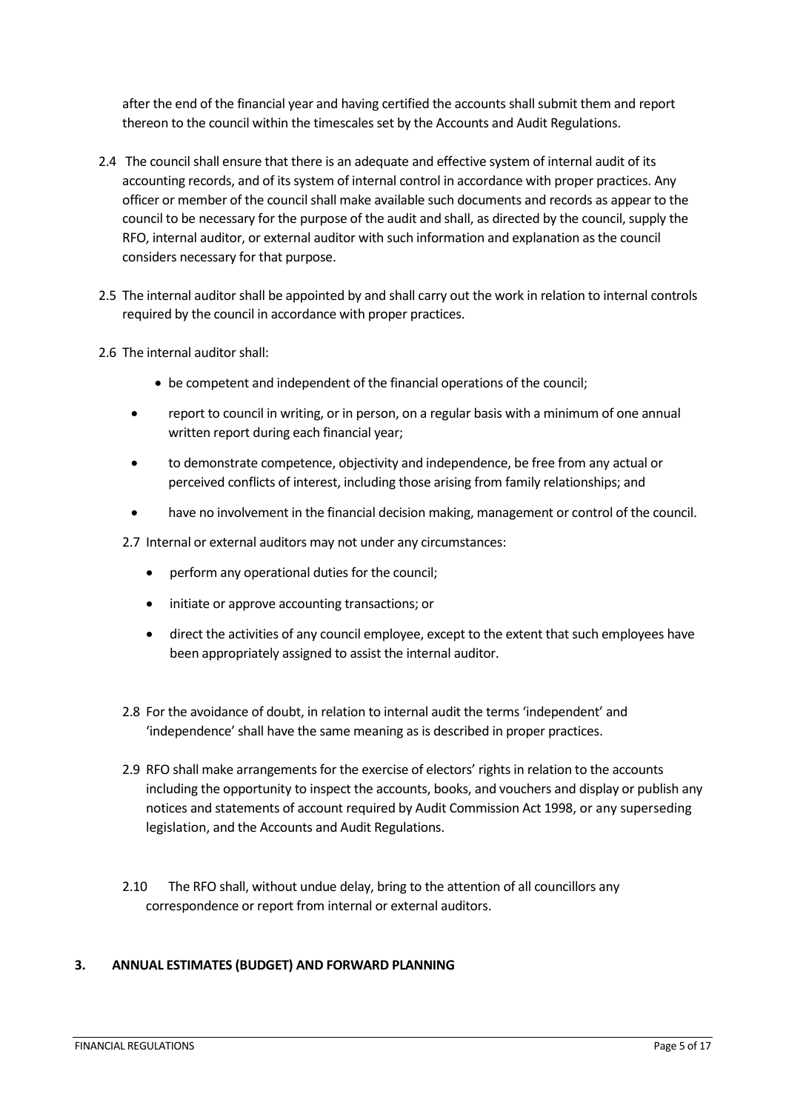after the end of the financial year and having certified the accounts shall submit them and report thereon to the council within the timescales set by the Accounts and Audit Regulations.

- 2.4 The council shall ensure that there is an adequate and effective system of internal audit of its accounting records, and of its system of internal control in accordance with proper practices. Any officer or member of the council shall make available such documents and records as appear to the council to be necessary for the purpose of the audit and shall, as directed by the council, supply the RFO, internal auditor, or external auditor with such information and explanation as the council considers necessary for that purpose.
- 2.5 The internal auditor shall be appointed by and shall carry out the work in relation to internal controls required by the council in accordance with proper practices.
- 2.6 The internal auditor shall:
	- be competent and independent of the financial operations of the council;
	- report to council in writing, or in person, on a regular basis with a minimum of one annual written report during each financial year;
	- to demonstrate competence, objectivity and independence, be free from any actual or perceived conflicts of interest, including those arising from family relationships; and
	- have no involvement in the financial decision making, management or control of the council.
	- 2.7 Internal or external auditors may not under any circumstances:
		- perform any operational duties for the council;
		- initiate or approve accounting transactions; or
		- direct the activities of any council employee, except to the extent that such employees have been appropriately assigned to assist the internal auditor.
	- 2.8 For the avoidance of doubt, in relation to internal audit the terms 'independent' and 'independence' shall have the same meaning as is described in proper practices.
	- 2.9 RFO shall make arrangements for the exercise of electors' rights in relation to the accounts including the opportunity to inspect the accounts, books, and vouchers and display or publish any notices and statements of account required by Audit Commission Act 1998, or any superseding legislation, and the Accounts and Audit Regulations.
	- 2.10 The RFO shall, without undue delay, bring to the attention of all councillors any correspondence or report from internal or external auditors.

#### <span id="page-4-0"></span>**3. ANNUAL ESTIMATES (BUDGET) AND FORWARD PLANNING**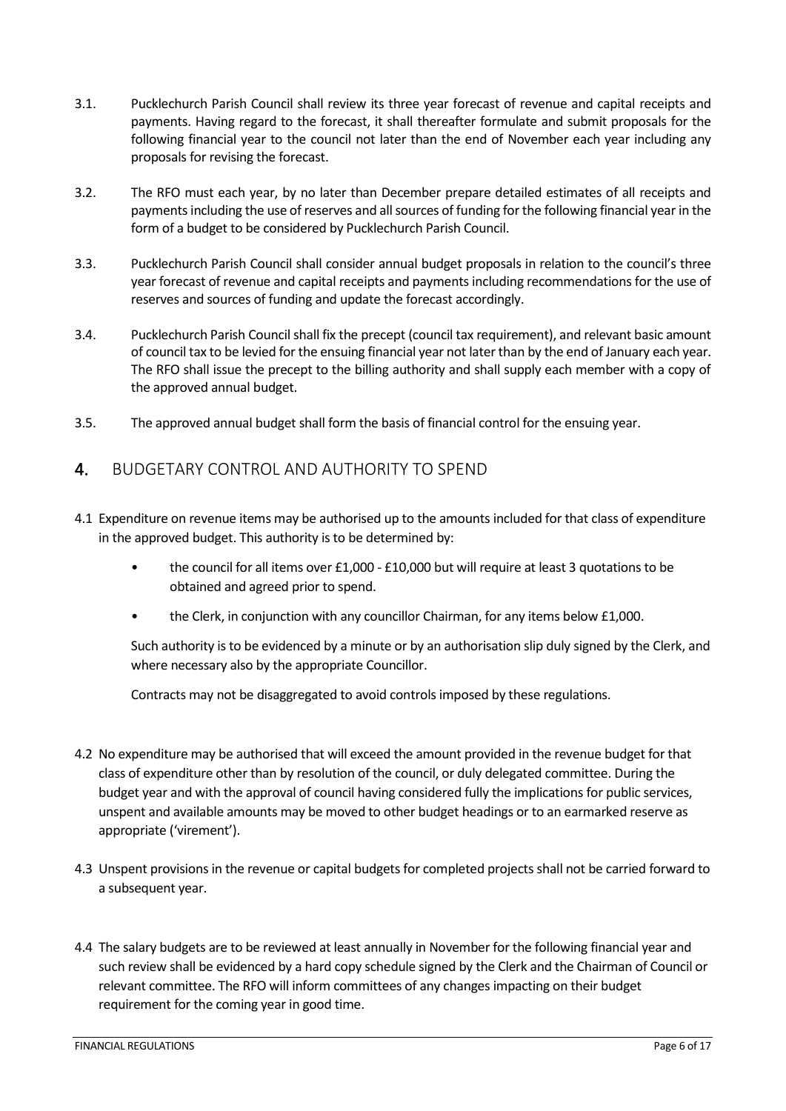- 3.1. Pucklechurch Parish Council shall review its three year forecast of revenue and capital receipts and payments. Having regard to the forecast, it shall thereafter formulate and submit proposals for the following financial year to the council not later than the end of November each year including any proposals for revising the forecast.
- 3.2. The RFO must each year, by no later than December prepare detailed estimates of all receipts and payments including the use of reserves and all sources of funding for the following financial year in the form of a budget to be considered by Pucklechurch Parish Council.
- 3.3. Pucklechurch Parish Council shall consider annual budget proposals in relation to the council's three year forecast of revenue and capital receipts and payments including recommendations for the use of reserves and sources of funding and update the forecast accordingly.
- 3.4. Pucklechurch Parish Council shall fix the precept (council tax requirement), and relevant basic amount of council tax to be levied for the ensuing financial year not later than by the end of January each year. The RFO shall issue the precept to the billing authority and shall supply each member with a copy of the approved annual budget.
- <span id="page-5-0"></span>3.5. The approved annual budget shall form the basis of financial control for the ensuing year.

## 4. BUDGETARY CONTROL AND AUTHORITY TO SPEND

- 4.1 Expenditure on revenue items may be authorised up to the amounts included for that class of expenditure in the approved budget. This authority is to be determined by:
	- the council for all items over £1,000 £10,000 but will require at least 3 quotations to be obtained and agreed prior to spend.
	- the Clerk, in conjunction with any councillor Chairman, for any items below £1,000.

Such authority is to be evidenced by a minute or by an authorisation slip duly signed by the Clerk, and where necessary also by the appropriate Councillor.

Contracts may not be disaggregated to avoid controls imposed by these regulations.

- 4.2 No expenditure may be authorised that will exceed the amount provided in the revenue budget for that class of expenditure other than by resolution of the council, or duly delegated committee. During the budget year and with the approval of council having considered fully the implications for public services, unspent and available amounts may be moved to other budget headings or to an earmarked reserve as appropriate ('virement').
- 4.3 Unspent provisions in the revenue or capital budgets for completed projects shall not be carried forward to a subsequent year.
- 4.4 The salary budgets are to be reviewed at least annually in November for the following financial year and such review shall be evidenced by a hard copy schedule signed by the Clerk and the Chairman of Council or relevant committee. The RFO will inform committees of any changes impacting on their budget requirement for the coming year in good time.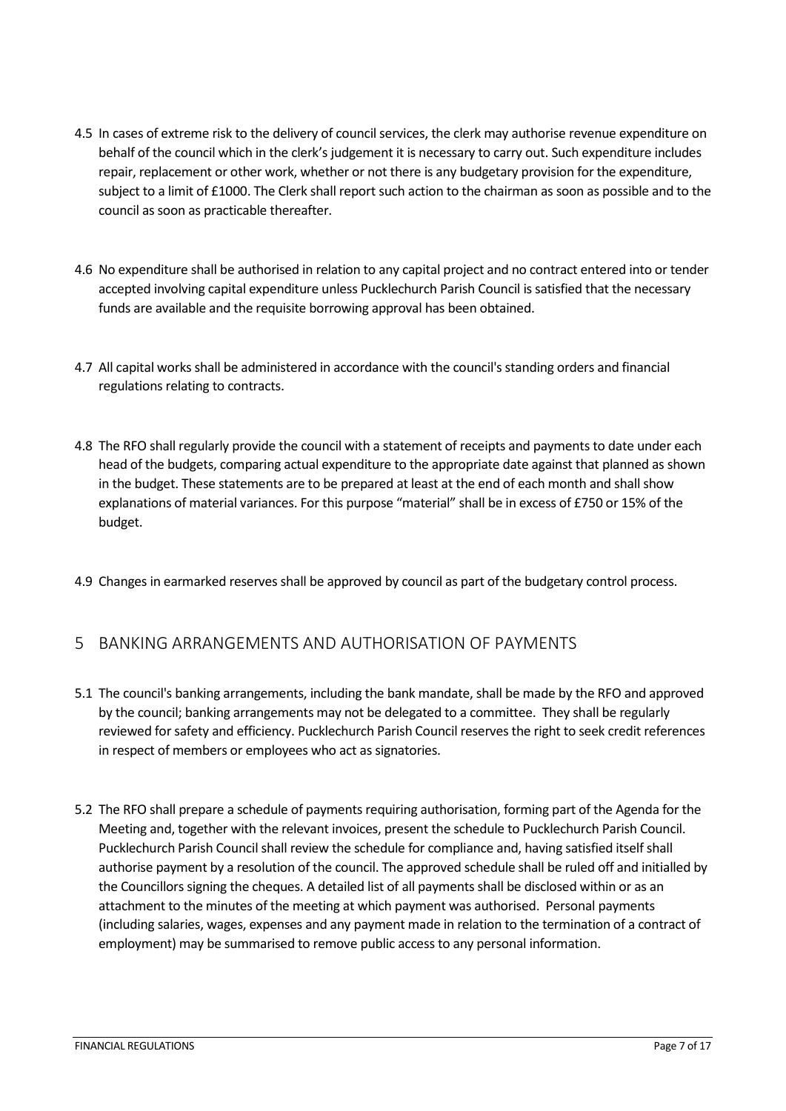- 4.5 In cases of extreme risk to the delivery of council services, the clerk may authorise revenue expenditure on behalf of the council which in the clerk's judgement it is necessary to carry out. Such expenditure includes repair, replacement or other work, whether or not there is any budgetary provision for the expenditure, subject to a limit of £1000. The Clerk shall report such action to the chairman as soon as possible and to the council as soon as practicable thereafter.
- 4.6 No expenditure shall be authorised in relation to any capital project and no contract entered into or tender accepted involving capital expenditure unless Pucklechurch Parish Council is satisfied that the necessary funds are available and the requisite borrowing approval has been obtained.
- 4.7 All capital works shall be administered in accordance with the council's standing orders and financial regulations relating to contracts.
- 4.8 The RFO shall regularly provide the council with a statement of receipts and payments to date under each head of the budgets, comparing actual expenditure to the appropriate date against that planned as shown in the budget. These statements are to be prepared at least at the end of each month and shall show explanations of material variances. For this purpose "material" shall be in excess of £750 or 15% of the budget.
- 4.9 Changes in earmarked reserves shall be approved by council as part of the budgetary control process.

#### <span id="page-6-0"></span>5 BANKING ARRANGEMENTS AND AUTHORISATION OF PAYMENTS

- 5.1 The council's banking arrangements, including the bank mandate, shall be made by the RFO and approved by the council; banking arrangements may not be delegated to a committee. They shall be regularly reviewed for safety and efficiency. Pucklechurch Parish Council reserves the right to seek credit references in respect of members or employees who act as signatories.
- 5.2 The RFO shall prepare a schedule of payments requiring authorisation, forming part of the Agenda for the Meeting and, together with the relevant invoices, present the schedule to Pucklechurch Parish Council. Pucklechurch Parish Council shall review the schedule for compliance and, having satisfied itself shall authorise payment by a resolution of the council. The approved schedule shall be ruled off and initialled by the Councillors signing the cheques. A detailed list of all payments shall be disclosed within or as an attachment to the minutes of the meeting at which payment was authorised. Personal payments (including salaries, wages, expenses and any payment made in relation to the termination of a contract of employment) may be summarised to remove public access to any personal information.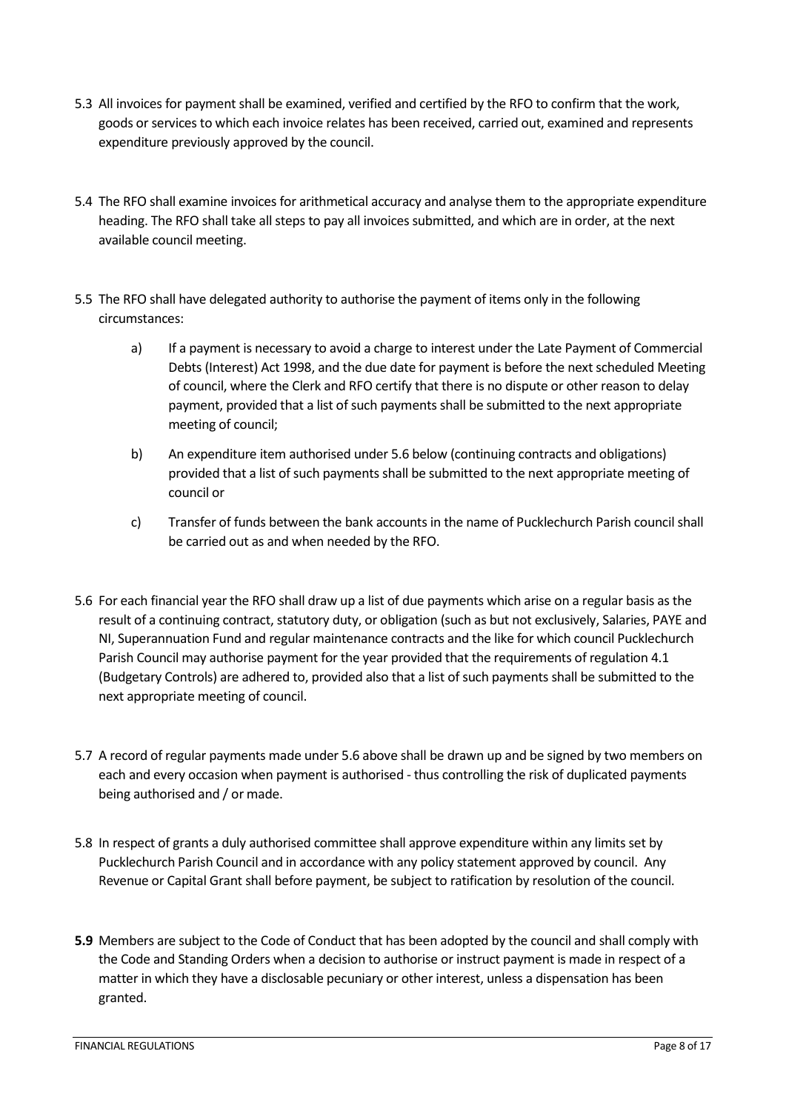- 5.3 All invoices for payment shall be examined, verified and certified by the RFO to confirm that the work, goods or services to which each invoice relates has been received, carried out, examined and represents expenditure previously approved by the council.
- 5.4 The RFO shall examine invoices for arithmetical accuracy and analyse them to the appropriate expenditure heading. The RFO shall take all steps to pay all invoices submitted, and which are in order, at the next available council meeting.
- 5.5 The RFO shall have delegated authority to authorise the payment of items only in the following circumstances:
	- a) If a payment is necessary to avoid a charge to interest under the Late Payment of Commercial Debts (Interest) Act 1998, and the due date for payment is before the next scheduled Meeting of council, where the Clerk and RFO certify that there is no dispute or other reason to delay payment, provided that a list of such payments shall be submitted to the next appropriate meeting of council;
	- b) An expenditure item authorised under 5.6 below (continuing contracts and obligations) provided that a list of such payments shall be submitted to the next appropriate meeting of council or
	- c) Transfer of funds between the bank accounts in the name of Pucklechurch Parish council shall be carried out as and when needed by the RFO.
- 5.6 For each financial year the RFO shall draw up a list of due payments which arise on a regular basis as the result of a continuing contract, statutory duty, or obligation (such as but not exclusively, Salaries, PAYE and NI, Superannuation Fund and regular maintenance contracts and the like for which council Pucklechurch Parish Council may authorise payment for the year provided that the requirements of regulation 4.1 (Budgetary Controls) are adhered to, provided also that a list of such payments shall be submitted to the next appropriate meeting of council.
- 5.7 A record of regular payments made under 5.6 above shall be drawn up and be signed by two members on each and every occasion when payment is authorised - thus controlling the risk of duplicated payments being authorised and / or made.
- 5.8 In respect of grants a duly authorised committee shall approve expenditure within any limits set by Pucklechurch Parish Council and in accordance with any policy statement approved by council. Any Revenue or Capital Grant shall before payment, be subject to ratification by resolution of the council.
- **5.9** Members are subject to the Code of Conduct that has been adopted by the council and shall comply with the Code and Standing Orders when a decision to authorise or instruct payment is made in respect of a matter in which they have a disclosable pecuniary or other interest, unless a dispensation has been granted.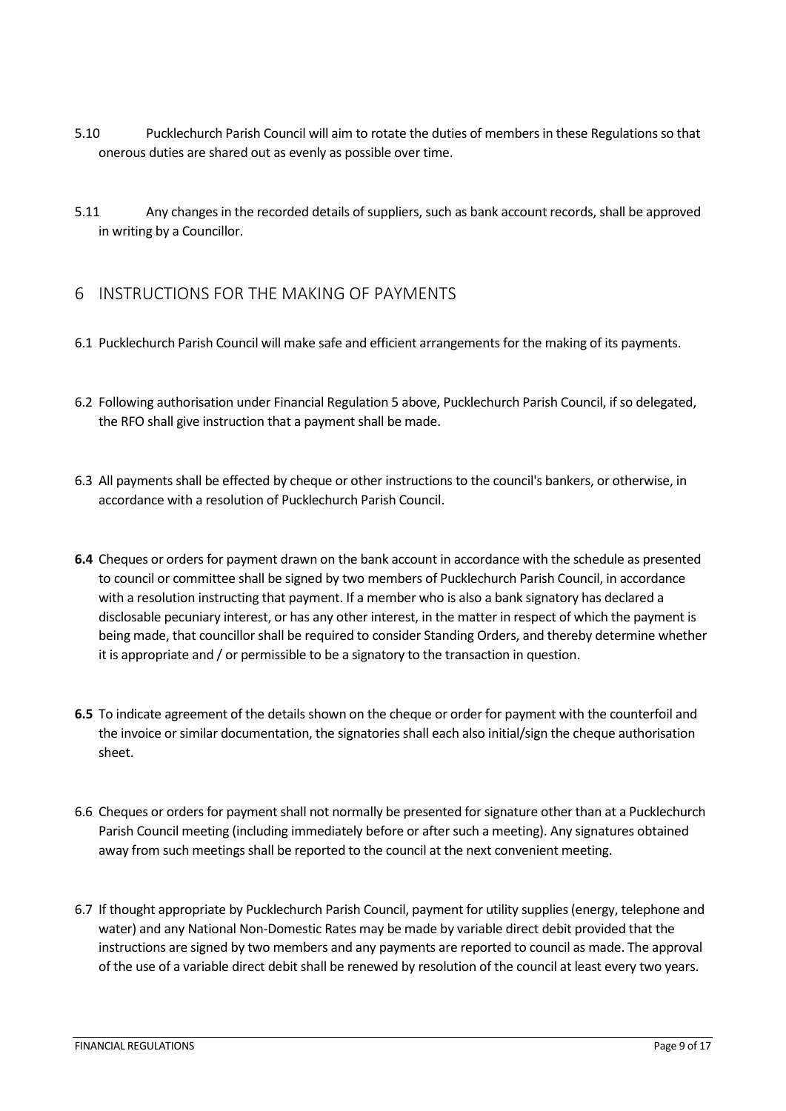- 5.10 Pucklechurch Parish Council will aim to rotate the duties of members in these Regulations so that onerous duties are shared out as evenly as possible over time.
- 5.11 Any changes in the recorded details of suppliers, such as bank account records, shall be approved in writing by a Councillor.

## <span id="page-8-0"></span>6 INSTRUCTIONS FOR THE MAKING OF PAYMENTS

- 6.1 Pucklechurch Parish Council will make safe and efficient arrangements for the making of its payments.
- 6.2 Following authorisation under Financial Regulation 5 above, Pucklechurch Parish Council, if so delegated, the RFO shall give instruction that a payment shall be made.
- 6.3 All payments shall be effected by cheque or other instructions to the council's bankers, or otherwise, in accordance with a resolution of Pucklechurch Parish Council.
- **6.4** Cheques or orders for payment drawn on the bank account in accordance with the schedule as presented to council or committee shall be signed by two members of Pucklechurch Parish Council, in accordance with a resolution instructing that payment. If a member who is also a bank signatory has declared a disclosable pecuniary interest, or has any other interest, in the matter in respect of which the payment is being made, that councillor shall be required to consider Standing Orders, and thereby determine whether it is appropriate and / or permissible to be a signatory to the transaction in question.
- **6.5** To indicate agreement of the details shown on the cheque or order for payment with the counterfoil and the invoice or similar documentation, the signatories shall each also initial/sign the cheque authorisation sheet.
- 6.6 Cheques or orders for payment shall not normally be presented for signature other than at a Pucklechurch Parish Council meeting (including immediately before or after such a meeting). Any signatures obtained away from such meetings shall be reported to the council at the next convenient meeting.
- 6.7 If thought appropriate by Pucklechurch Parish Council, payment for utility supplies (energy, telephone and water) and any National Non-Domestic Rates may be made by variable direct debit provided that the instructions are signed by two members and any payments are reported to council as made. The approval of the use of a variable direct debit shall be renewed by resolution of the council at least every two years.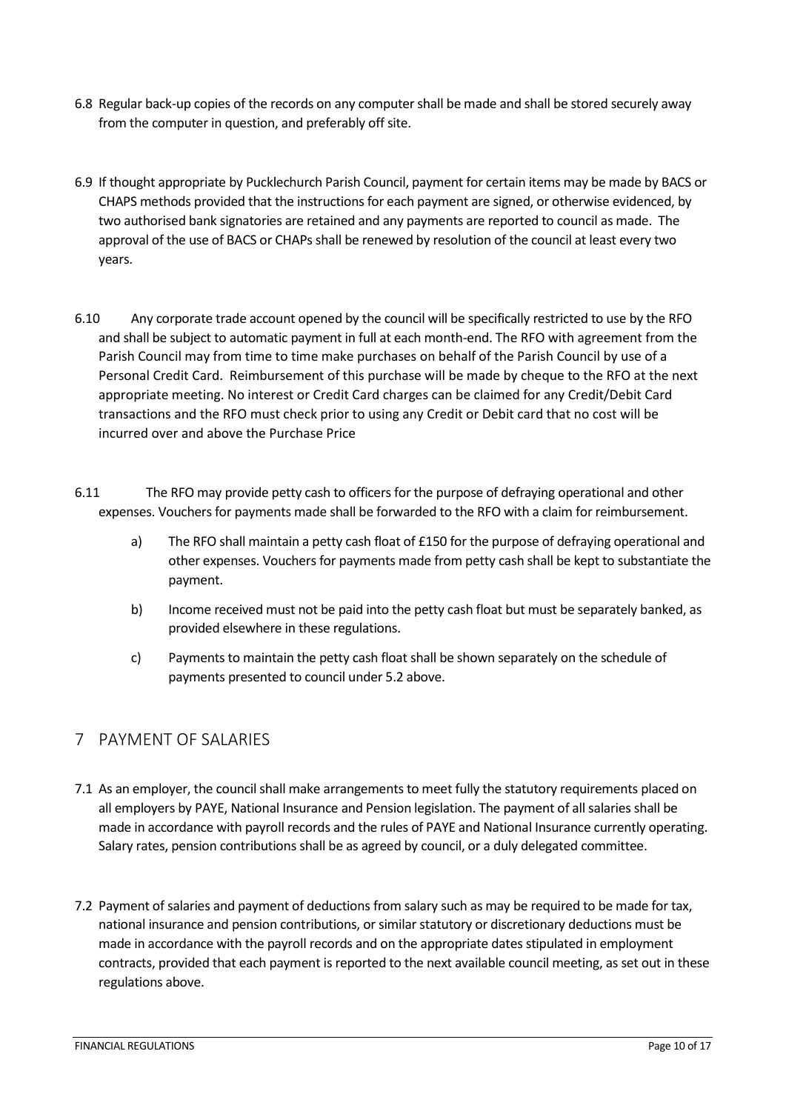- 6.8 Regular back-up copies of the records on any computer shall be made and shall be stored securely away from the computer in question, and preferably off site.
- 6.9 If thought appropriate by Pucklechurch Parish Council, payment for certain items may be made by BACS or CHAPS methods provided that the instructions for each payment are signed, or otherwise evidenced, by two authorised bank signatories are retained and any payments are reported to council as made. The approval of the use of BACS or CHAPs shall be renewed by resolution of the council at least every two years.
- 6.10 Any corporate trade account opened by the council will be specifically restricted to use by the RFO and shall be subject to automatic payment in full at each month-end. The RFO with agreement from the Parish Council may from time to time make purchases on behalf of the Parish Council by use of a Personal Credit Card. Reimbursement of this purchase will be made by cheque to the RFO at the next appropriate meeting. No interest or Credit Card charges can be claimed for any Credit/Debit Card transactions and the RFO must check prior to using any Credit or Debit card that no cost will be incurred over and above the Purchase Price
- 6.11 The RFO may provide petty cash to officers for the purpose of defraying operational and other expenses. Vouchers for payments made shall be forwarded to the RFO with a claim for reimbursement.
	- a) The RFO shall maintain a petty cash float of £150 for the purpose of defraying operational and other expenses. Vouchers for payments made from petty cash shall be kept to substantiate the payment.
	- b) Income received must not be paid into the petty cash float but must be separately banked, as provided elsewhere in these regulations.
	- c) Payments to maintain the petty cash float shall be shown separately on the schedule of payments presented to council under 5.2 above.

## <span id="page-9-0"></span>7 PAYMENT OF SALARIES

- 7.1 As an employer, the council shall make arrangements to meet fully the statutory requirements placed on all employers by PAYE, National Insurance and Pension legislation. The payment of all salaries shall be made in accordance with payroll records and the rules of PAYE and National Insurance currently operating. Salary rates, pension contributions shall be as agreed by council, or a duly delegated committee.
- 7.2 Payment of salaries and payment of deductions from salary such as may be required to be made for tax, national insurance and pension contributions, or similar statutory or discretionary deductions must be made in accordance with the payroll records and on the appropriate dates stipulated in employment contracts, provided that each payment is reported to the next available council meeting, as set out in these regulations above.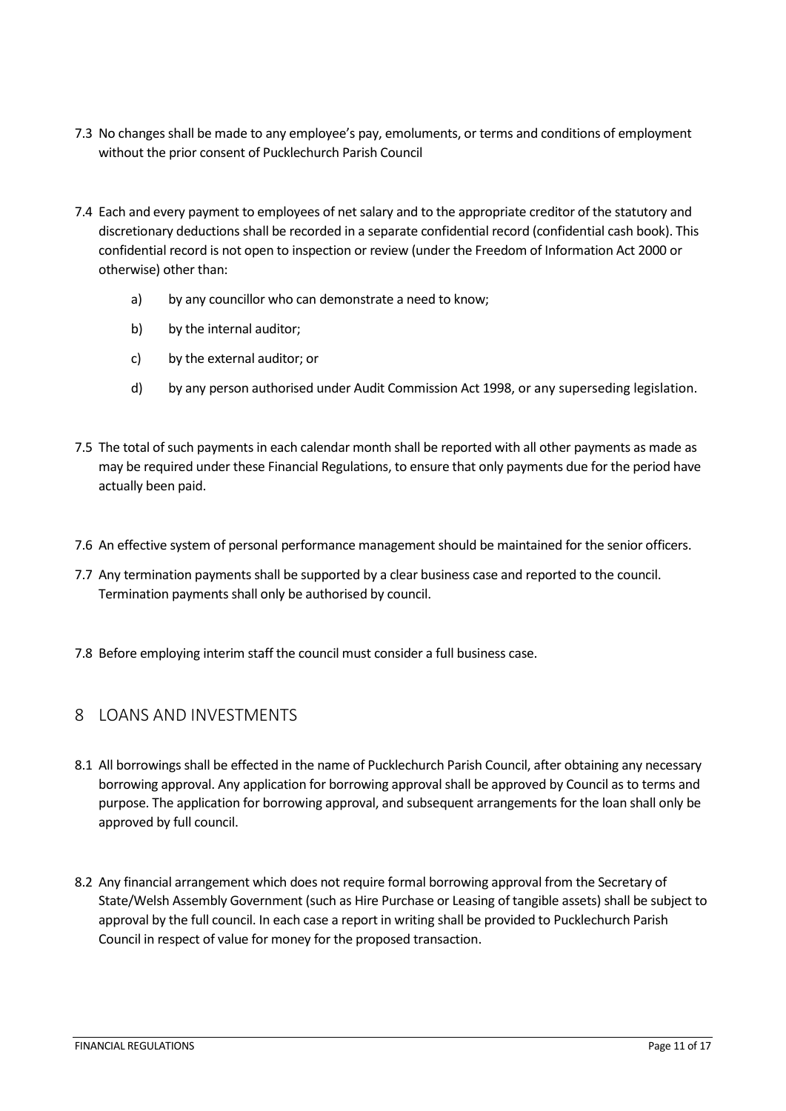- 7.3 No changes shall be made to any employee's pay, emoluments, or terms and conditions of employment without the prior consent of Pucklechurch Parish Council
- 7.4 Each and every payment to employees of net salary and to the appropriate creditor of the statutory and discretionary deductions shall be recorded in a separate confidential record (confidential cash book). This confidential record is not open to inspection or review (under the Freedom of Information Act 2000 or otherwise) other than:
	- a) by any councillor who can demonstrate a need to know;
	- b) by the internal auditor;
	- c) by the external auditor; or
	- d) by any person authorised under Audit Commission Act 1998, or any superseding legislation.
- 7.5 The total of such payments in each calendar month shall be reported with all other payments as made as may be required under these Financial Regulations, to ensure that only payments due for the period have actually been paid.
- 7.6 An effective system of personal performance management should be maintained for the senior officers.
- 7.7 Any termination payments shall be supported by a clear business case and reported to the council. Termination payments shall only be authorised by council.
- 7.8 Before employing interim staff the council must consider a full business case.

## <span id="page-10-0"></span>8 LOANS AND INVESTMENTS

- 8.1 All borrowings shall be effected in the name of Pucklechurch Parish Council, after obtaining any necessary borrowing approval. Any application for borrowing approval shall be approved by Council as to terms and purpose. The application for borrowing approval, and subsequent arrangements for the loan shall only be approved by full council.
- 8.2 Any financial arrangement which does not require formal borrowing approval from the Secretary of State/Welsh Assembly Government (such as Hire Purchase or Leasing of tangible assets) shall be subject to approval by the full council. In each case a report in writing shall be provided to Pucklechurch Parish Council in respect of value for money for the proposed transaction.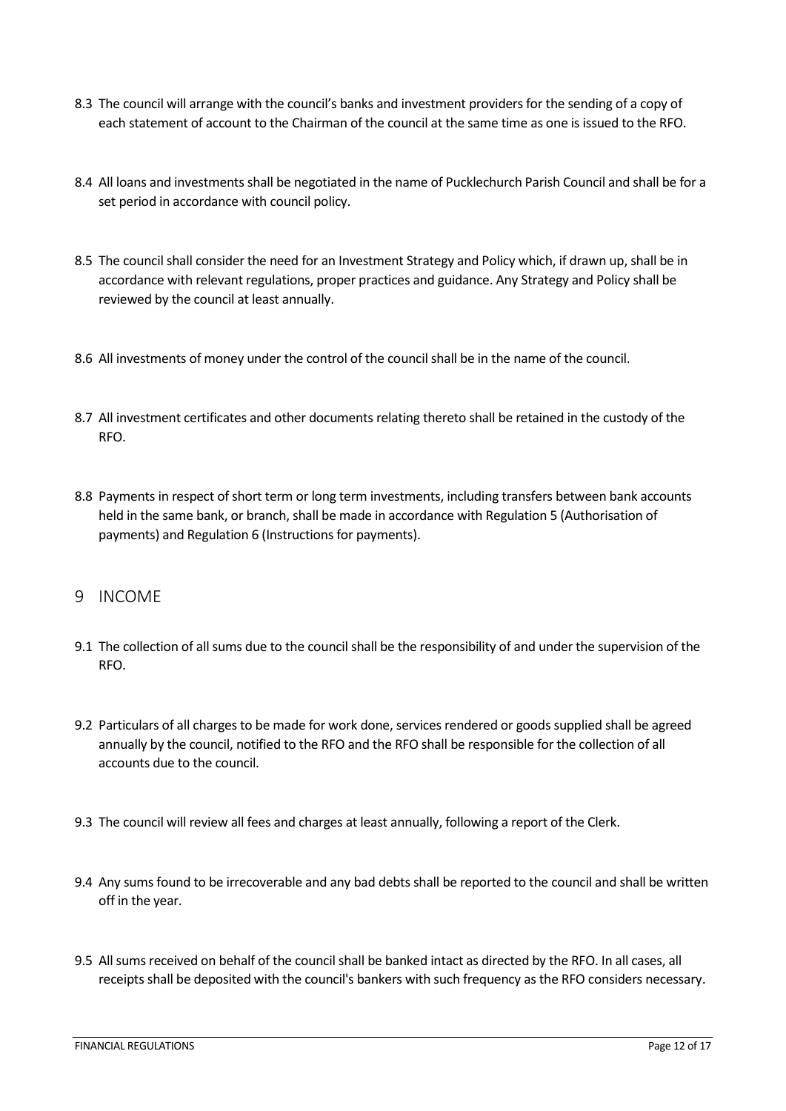- 8.3 The council will arrange with the council's banks and investment providers for the sending of a copy of each statement of account to the Chairman of the council at the same time as one is issued to the RFO.
- 8.4 All loans and investments shall be negotiated in the name of Pucklechurch Parish Council and shall be for a set period in accordance with council policy.
- 8.5 The council shall consider the need for an Investment Strategy and Policy which, if drawn up, shall be in accordance with relevant regulations, proper practices and guidance. Any Strategy and Policy shall be reviewed by the council at least annually.
- 8.6 All investments of money under the control of the council shall be in the name of the council.
- 8.7 All investment certificates and other documents relating thereto shall be retained in the custody of the RFO.
- 8.8 Payments in respect of short term or long term investments, including transfers between bank accounts held in the same bank, or branch, shall be made in accordance with Regulation 5 (Authorisation of payments) and Regulation 6 (Instructions for payments).

#### <span id="page-11-0"></span>9 INCOME

- 9.1 The collection of all sums due to the council shall be the responsibility of and under the supervision of the RFO.
- 9.2 Particulars of all charges to be made for work done, services rendered or goods supplied shall be agreed annually by the council, notified to the RFO and the RFO shall be responsible for the collection of all accounts due to the council.
- 9.3 The council will review all fees and charges at least annually, following a report of the Clerk.
- 9.4 Any sums found to be irrecoverable and any bad debts shall be reported to the council and shall be written off in the year.
- 9.5 All sums received on behalf of the council shall be banked intact as directed by the RFO. In all cases, all receipts shall be deposited with the council's bankers with such frequency as the RFO considers necessary.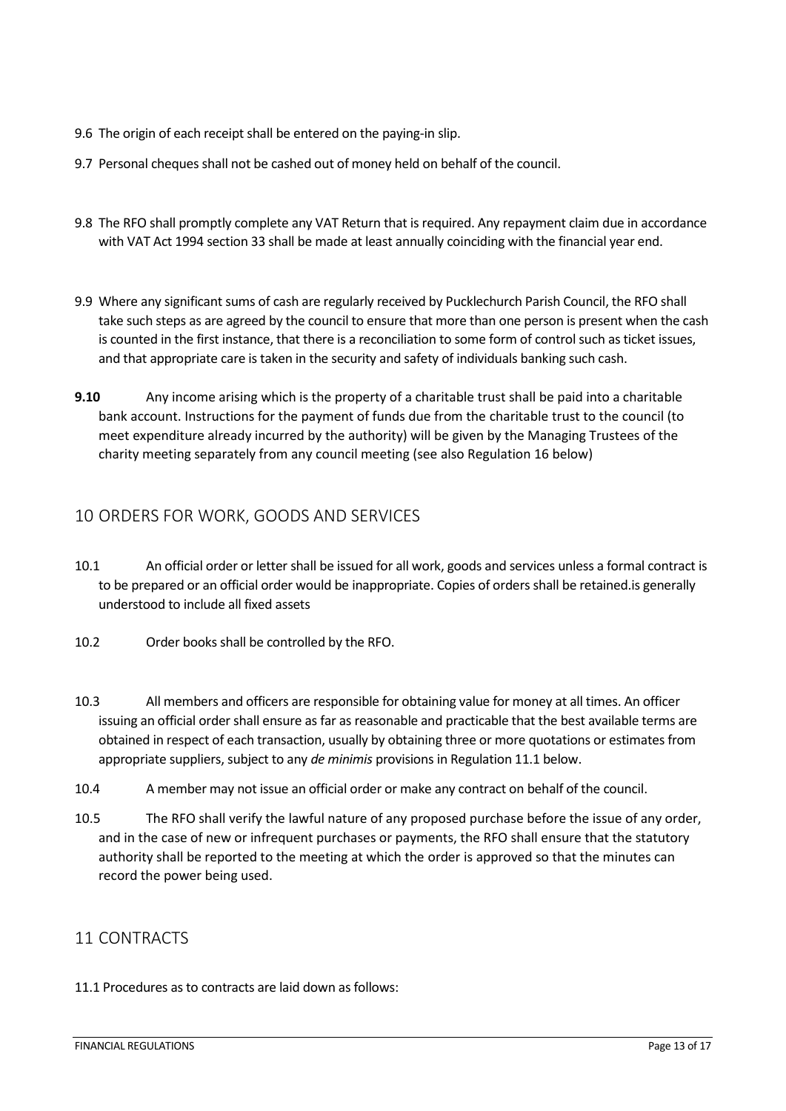- 9.6 The origin of each receipt shall be entered on the paying-in slip.
- 9.7 Personal cheques shall not be cashed out of money held on behalf of the council.
- 9.8 The RFO shall promptly complete any VAT Return that is required. Any repayment claim due in accordance with VAT Act 1994 section 33 shall be made at least annually coinciding with the financial year end.
- 9.9 Where any significant sums of cash are regularly received by Pucklechurch Parish Council, the RFO shall take such steps as are agreed by the council to ensure that more than one person is present when the cash is counted in the first instance, that there is a reconciliation to some form of control such as ticket issues, and that appropriate care is taken in the security and safety of individuals banking such cash.
- **9.10** Any income arising which is the property of a charitable trust shall be paid into a charitable bank account. Instructions for the payment of funds due from the charitable trust to the council (to meet expenditure already incurred by the authority) will be given by the Managing Trustees of the charity meeting separately from any council meeting (see also Regulation 16 below)

## <span id="page-12-0"></span>10 ORDERS FOR WORK, GOODS AND SERVICES

- 10.1 An official order or letter shall be issued for all work, goods and services unless a formal contract is to be prepared or an official order would be inappropriate. Copies of orders shall be retained.is generally understood to include all fixed assets
- 10.2 Order books shall be controlled by the RFO.
- 10.3 All members and officers are responsible for obtaining value for money at all times. An officer issuing an official order shall ensure as far as reasonable and practicable that the best available terms are obtained in respect of each transaction, usually by obtaining three or more quotations or estimates from appropriate suppliers, subject to any *de minimis* provisions in Regulation 11.1 below.
- 10.4 A member may not issue an official order or make any contract on behalf of the council.
- 10.5 The RFO shall verify the lawful nature of any proposed purchase before the issue of any order, and in the case of new or infrequent purchases or payments, the RFO shall ensure that the statutory authority shall be reported to the meeting at which the order is approved so that the minutes can record the power being used.

#### <span id="page-12-1"></span>11 CONTRACTS

11.1 Procedures as to contracts are laid down as follows: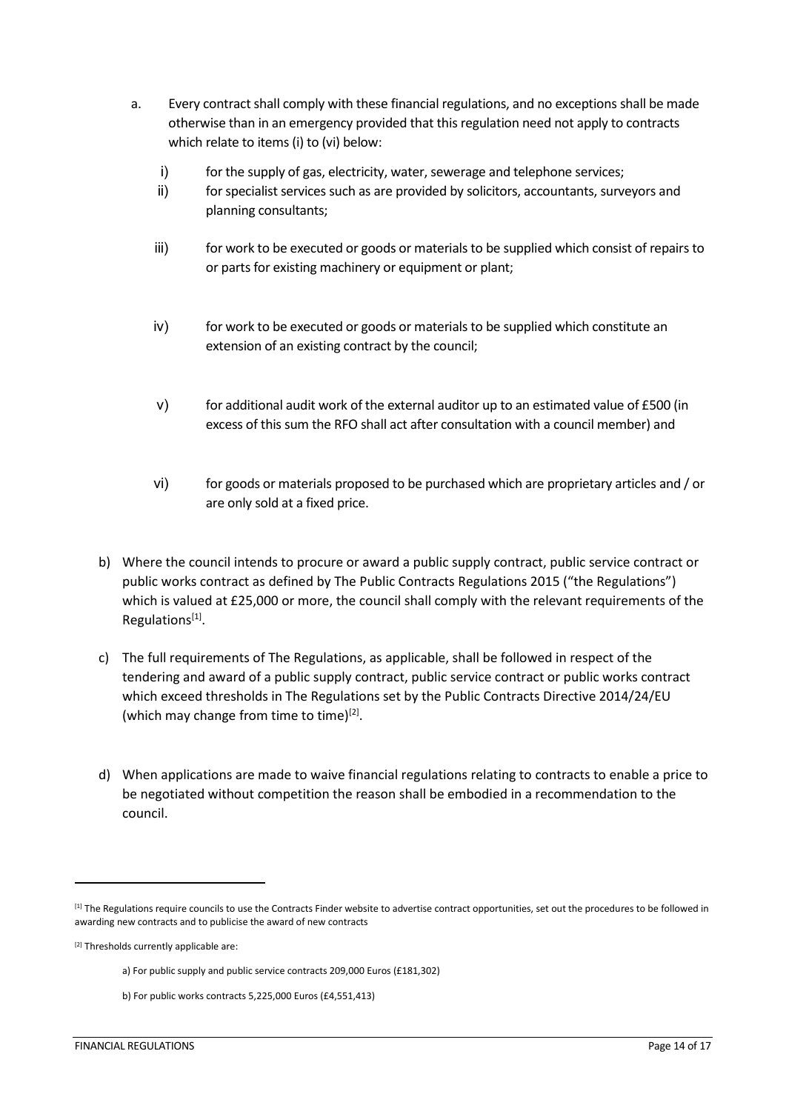- a. Every contract shall comply with these financial regulations, and no exceptions shall be made otherwise than in an emergency provided that this regulation need not apply to contracts which relate to items (i) to (vi) below:
	- i) for the supply of gas, electricity, water, sewerage and telephone services;
	- ii) for specialist services such as are provided by solicitors, accountants, surveyors and planning consultants;
	- iii) for work to be executed or goods or materials to be supplied which consist of repairs to or parts for existing machinery or equipment or plant;
	- iv) for work to be executed or goods or materials to be supplied which constitute an extension of an existing contract by the council;
	- v) for additional audit work of the external auditor up to an estimated value of £500 (in excess of this sum the RFO shall act after consultation with a council member) and
	- vi) for goods or materials proposed to be purchased which are proprietary articles and / or are only sold at a fixed price.
- b) Where the council intends to procure or award a public supply contract, public service contract or public works contract as defined by The Public Contracts Regulations 2015 ("the Regulations") which is valued at £25,000 or more, the council shall comply with the relevant requirements of the Regulations[1].
- c) The full requirements of The Regulations, as applicable, shall be followed in respect of the tendering and award of a public supply contract, public service contract or public works contract which exceed thresholds in The Regulations set by the Public Contracts Directive 2014/24/EU (which may change from time to time)<sup>[2]</sup>.
- d) When applications are made to waive financial regulations relating to contracts to enable a price to be negotiated without competition the reason shall be embodied in a recommendation to the council.

<sup>[1]</sup> The Regulations require councils to use the Contracts Finder website to advertise contract opportunities, set out the procedures to be followed in awarding new contracts and to publicise the award of new contracts

<sup>[2]</sup> Thresholds currently applicable are:

a) For public supply and public service contracts 209,000 Euros (£181,302)

b) For public works contracts 5,225,000 Euros (£4,551,413)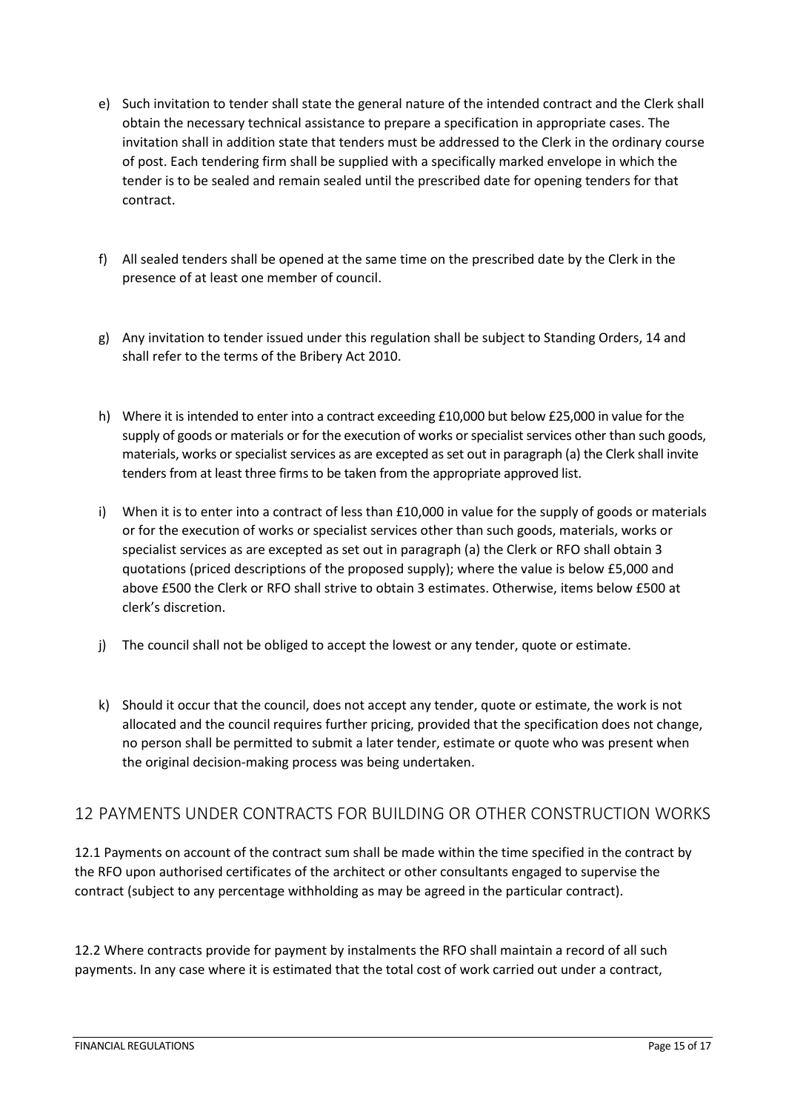- e) Such invitation to tender shall state the general nature of the intended contract and the Clerk shall obtain the necessary technical assistance to prepare a specification in appropriate cases. The invitation shall in addition state that tenders must be addressed to the Clerk in the ordinary course of post. Each tendering firm shall be supplied with a specifically marked envelope in which the tender is to be sealed and remain sealed until the prescribed date for opening tenders for that contract.
- f) All sealed tenders shall be opened at the same time on the prescribed date by the Clerk in the presence of at least one member of council.
- g) Any invitation to tender issued under this regulation shall be subject to Standing Orders, 14 and shall refer to the terms of the Bribery Act 2010.
- h) Where it is intended to enter into a contract exceeding £10,000 but below £25,000 in value for the supply of goods or materials or for the execution of works or specialist services other than such goods, materials, works or specialist services as are excepted as set out in paragraph (a) the Clerk shall invite tenders from at least three firms to be taken from the appropriate approved list.
- i) When it is to enter into a contract of less than £10,000 in value for the supply of goods or materials or for the execution of works or specialist services other than such goods, materials, works or specialist services as are excepted as set out in paragraph (a) the Clerk or RFO shall obtain 3 quotations (priced descriptions of the proposed supply); where the value is below £5,000 and above £500 the Clerk or RFO shall strive to obtain 3 estimates. Otherwise, items below £500 at clerk's discretion.
- j) The council shall not be obliged to accept the lowest or any tender, quote or estimate.
- k) Should it occur that the council, does not accept any tender, quote or estimate, the work is not allocated and the council requires further pricing, provided that the specification does not change, no person shall be permitted to submit a later tender, estimate or quote who was present when the original decision-making process was being undertaken.

## <span id="page-14-0"></span>12 PAYMENTS UNDER CONTRACTS FOR BUILDING OR OTHER CONSTRUCTION WORKS

12.1 Payments on account of the contract sum shall be made within the time specified in the contract by the RFO upon authorised certificates of the architect or other consultants engaged to supervise the contract (subject to any percentage withholding as may be agreed in the particular contract).

12.2 Where contracts provide for payment by instalments the RFO shall maintain a record of all such payments. In any case where it is estimated that the total cost of work carried out under a contract,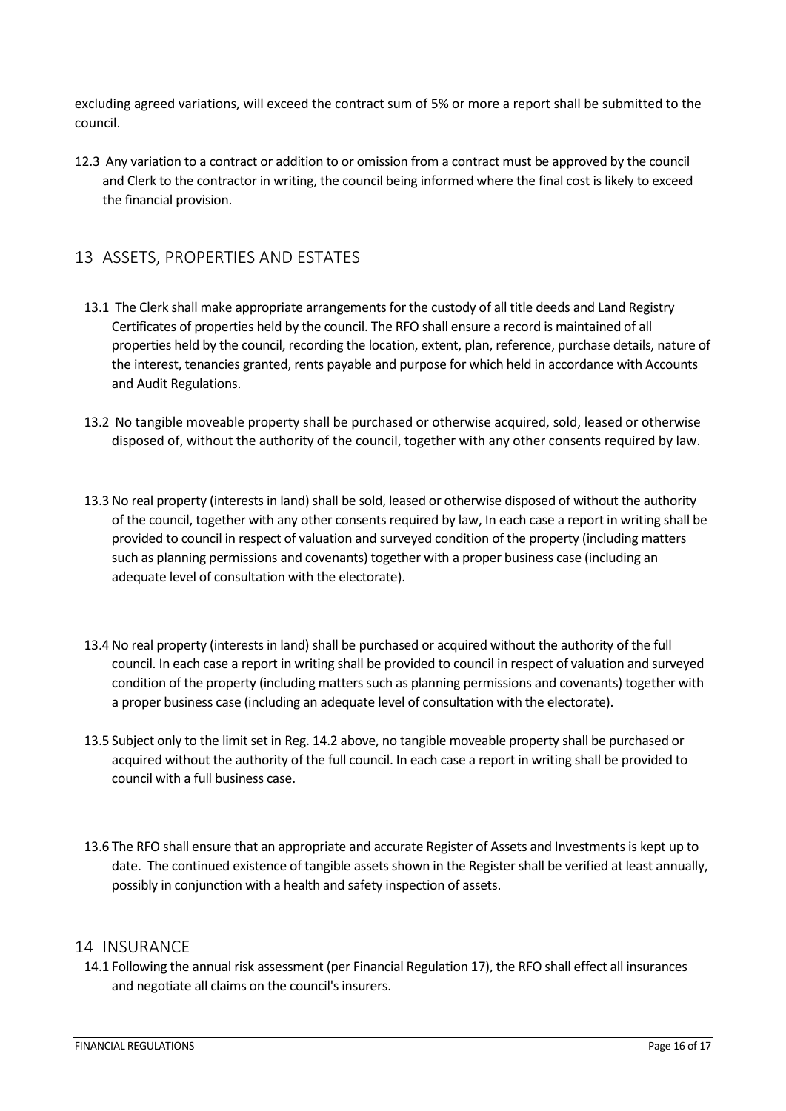excluding agreed variations, will exceed the contract sum of 5% or more a report shall be submitted to the council.

12.3 Any variation to a contract or addition to or omission from a contract must be approved by the council and Clerk to the contractor in writing, the council being informed where the final cost is likely to exceed the financial provision.

## <span id="page-15-0"></span>13 ASSETS, PROPERTIES AND ESTATES

- 13.1 The Clerk shall make appropriate arrangements for the custody of all title deeds and Land Registry Certificates of properties held by the council. The RFO shall ensure a record is maintained of all properties held by the council, recording the location, extent, plan, reference, purchase details, nature of the interest, tenancies granted, rents payable and purpose for which held in accordance with Accounts and Audit Regulations.
- 13.2 No tangible moveable property shall be purchased or otherwise acquired, sold, leased or otherwise disposed of, without the authority of the council, together with any other consents required by law.
- 13.3 No real property (interests in land) shall be sold, leased or otherwise disposed of without the authority of the council, together with any other consents required by law, In each case a report in writing shall be provided to council in respect of valuation and surveyed condition of the property (including matters such as planning permissions and covenants) together with a proper business case (including an adequate level of consultation with the electorate).
- 13.4 No real property (interests in land) shall be purchased or acquired without the authority of the full council. In each case a report in writing shall be provided to council in respect of valuation and surveyed condition of the property (including matters such as planning permissions and covenants) together with a proper business case (including an adequate level of consultation with the electorate).
- 13.5 Subject only to the limit set in Reg. 14.2 above, no tangible moveable property shall be purchased or acquired without the authority of the full council. In each case a report in writing shall be provided to council with a full business case.
- 13.6 The RFO shall ensure that an appropriate and accurate Register of Assets and Investments is kept up to date. The continued existence of tangible assets shown in the Register shall be verified at least annually, possibly in conjunction with a health and safety inspection of assets.

#### <span id="page-15-1"></span>14 INSURANCE

14.1 Following the annual risk assessment (per Financial Regulation 17), the RFO shall effect all insurances and negotiate all claims on the council's insurers.